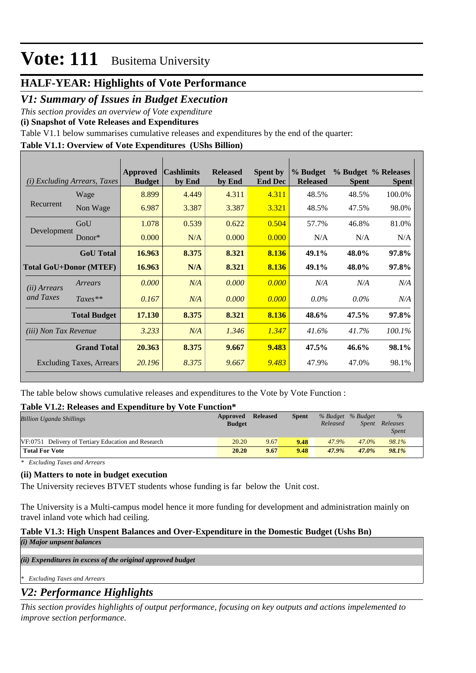# **HALF-YEAR: Highlights of Vote Performance**

### *V1: Summary of Issues in Budget Execution*

*This section provides an overview of Vote expenditure* 

**(i) Snapshot of Vote Releases and Expenditures**

Table V1.1 below summarises cumulative releases and expenditures by the end of the quarter:

### **Table V1.1: Overview of Vote Expenditures (UShs Billion)**

| <b>Excluding Arrears, Taxes</b><br>(i) |                                 | Approved<br><b>Budget</b> | <b>Cashlimits</b><br>by End | <b>Released</b><br>by End | <b>Spent by</b><br><b>End Dec</b> | % Budget<br><b>Released</b> | <b>Spent</b> | % Budget % Releases<br><b>Spent</b> |
|----------------------------------------|---------------------------------|---------------------------|-----------------------------|---------------------------|-----------------------------------|-----------------------------|--------------|-------------------------------------|
|                                        | Wage                            | 8.899                     | 4.449                       | 4.311                     | 4.311                             | 48.5%                       | 48.5%        | 100.0%                              |
| Recurrent                              | Non Wage                        | 6.987                     | 3.387                       | 3.387                     | 3.321                             | 48.5%                       | 47.5%        | 98.0%                               |
|                                        | GoU                             | 1.078                     | 0.539                       | 0.622                     | 0.504                             | 57.7%                       | 46.8%        | 81.0%                               |
| Development                            | Donor $*$                       | 0.000                     | N/A                         | 0.000                     | 0.000                             | N/A                         | N/A          | N/A                                 |
|                                        | <b>GoU</b> Total                | 16.963                    | 8.375                       | 8.321                     | 8.136                             | 49.1%                       | 48.0%        | 97.8%                               |
| <b>Total GoU+Donor (MTEF)</b>          |                                 | 16.963                    | N/A                         | 8.321                     | 8.136                             | 49.1%                       | 48.0%        | 97.8%                               |
| ( <i>ii</i> ) Arrears                  | Arrears                         | 0.000                     | N/A                         | 0.000                     | 0.000                             | N/A                         | N/A          | N/A                                 |
| and Taxes                              | $Taxes**$                       | 0.167                     | N/A                         | 0.000                     | 0.000                             | $0.0\%$                     | $0.0\%$      | N/A                                 |
|                                        | <b>Total Budget</b>             | 17.130                    | 8.375                       | 8.321                     | 8.136                             | 48.6%                       | 47.5%        | 97.8%                               |
| <i>(iii)</i> Non Tax Revenue           |                                 | 3.233                     | N/A                         | 1.346                     | 1.347                             | 41.6%                       | 41.7%        | 100.1%                              |
|                                        | <b>Grand Total</b>              | 20.363                    | 8.375                       | 9.667                     | 9.483                             | 47.5%                       | 46.6%        | 98.1%                               |
|                                        | <b>Excluding Taxes, Arrears</b> | 20.196                    | 8.375                       | 9.667                     | 9.483                             | 47.9%                       | 47.0%        | 98.1%                               |

The table below shows cumulative releases and expenditures to the Vote by Vote Function :

### **Table V1.2: Releases and Expenditure by Vote Function\***

| <b>Billion Uganda Shillings</b>                     | Approved<br><b>Budget</b> | <b>Released</b> | <b>Spent</b> | % Budget % Budget<br>Released | Spent | $\frac{0}{0}$<br>Releases<br><i>Spent</i> |
|-----------------------------------------------------|---------------------------|-----------------|--------------|-------------------------------|-------|-------------------------------------------|
| VF:0751 Delivery of Tertiary Education and Research | 20.20                     | 9.67            | 9.48         | 47.9%                         | 47.0% | 98.1%                                     |
| <b>Total For Vote</b>                               | 20.20                     | 9.67            | 9.48         | 47.9%                         | 47.0% | 98.1%                                     |

*\* Excluding Taxes and Arrears*

### **(ii) Matters to note in budget execution**

The University recieves BTVET students whose funding is far below the Unit cost.

The University is a Multi-campus model hence it more funding for development and administration mainly on travel inland vote which had ceiling.

### **Table V1.3: High Unspent Balances and Over-Expenditure in the Domestic Budget (Ushs Bn)**

*(i) Major unpsent balances*

*(ii) Expenditures in excess of the original approved budget*

*\* Excluding Taxes and Arrears*

## *V2: Performance Highlights*

*This section provides highlights of output performance, focusing on key outputs and actions impelemented to improve section performance.*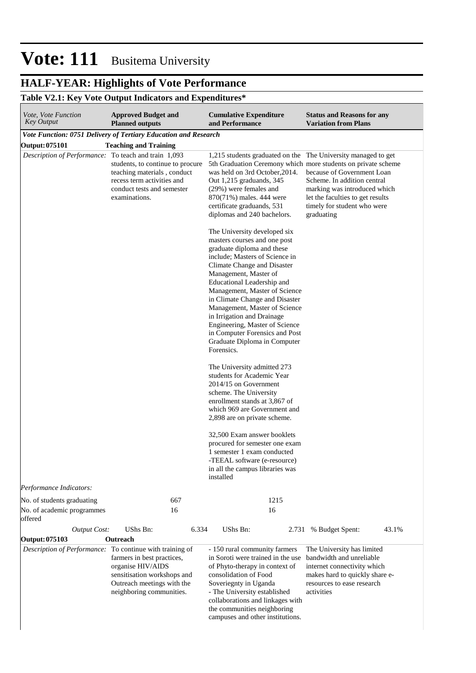# **HALF-YEAR: Highlights of Vote Performance**

## **Table V2.1: Key Vote Output Indicators and Expenditures\***

| Vote, Vote Function<br><b>Key Output</b>                 | <b>Approved Budget and</b><br><b>Planned outputs</b>                                                                                         | <b>Cumulative Expenditure</b><br>and Performance                                                                                                                                                                                                                                                                                                                                                                                                                       | <b>Status and Reasons for any</b><br><b>Variation from Plans</b>                                                                                                                                                                            |
|----------------------------------------------------------|----------------------------------------------------------------------------------------------------------------------------------------------|------------------------------------------------------------------------------------------------------------------------------------------------------------------------------------------------------------------------------------------------------------------------------------------------------------------------------------------------------------------------------------------------------------------------------------------------------------------------|---------------------------------------------------------------------------------------------------------------------------------------------------------------------------------------------------------------------------------------------|
|                                                          | Vote Function: 0751 Delivery of Tertiary Education and Research                                                                              |                                                                                                                                                                                                                                                                                                                                                                                                                                                                        |                                                                                                                                                                                                                                             |
| <b>Output: 075101</b>                                    | <b>Teaching and Training</b>                                                                                                                 |                                                                                                                                                                                                                                                                                                                                                                                                                                                                        |                                                                                                                                                                                                                                             |
| Description of Performance: To teach and train 1,093     | students, to continue to procure<br>teaching materials, conduct<br>recess term activities and<br>conduct tests and semester<br>examinations. | 1,215 students graduated on the The University managed to get<br>was held on 3rd October, 2014.<br>Out 1,215 graduands, 345<br>(29%) were females and<br>870(71%) males. 444 were<br>certificate graduands, 531<br>diplomas and 240 bachelors.                                                                                                                                                                                                                         | 5th Graduation Ceremony which more students on private scheme<br>because of Government Loan<br>Scheme. In addition central<br>marking was introduced which<br>let the faculties to get results<br>timely for student who were<br>graduating |
|                                                          |                                                                                                                                              | The University developed six<br>masters courses and one post<br>graduate diploma and these<br>include; Masters of Science in<br>Climate Change and Disaster<br>Management, Master of<br>Educational Leadership and<br>Management, Master of Science<br>in Climate Change and Disaster<br>Management, Master of Science<br>in Irrigation and Drainage<br>Engineering, Master of Science<br>in Computer Forensics and Post<br>Graduate Diploma in Computer<br>Forensics. |                                                                                                                                                                                                                                             |
|                                                          |                                                                                                                                              | The University admitted 273<br>students for Academic Year<br>2014/15 on Government<br>scheme. The University<br>enrollment stands at 3,867 of<br>which 969 are Government and<br>2,898 are on private scheme.                                                                                                                                                                                                                                                          |                                                                                                                                                                                                                                             |
|                                                          |                                                                                                                                              | 32,500 Exam answer booklets<br>procured for semester one exam<br>1 semester 1 exam conducted<br>-TEEAL software (e-resource)<br>in all the campus libraries was<br>installed                                                                                                                                                                                                                                                                                           |                                                                                                                                                                                                                                             |
| Performance Indicators:                                  |                                                                                                                                              |                                                                                                                                                                                                                                                                                                                                                                                                                                                                        |                                                                                                                                                                                                                                             |
| No. of students graduating                               | 667                                                                                                                                          | 1215                                                                                                                                                                                                                                                                                                                                                                                                                                                                   |                                                                                                                                                                                                                                             |
| No. of academic programmes<br>offered                    | 16                                                                                                                                           | 16                                                                                                                                                                                                                                                                                                                                                                                                                                                                     |                                                                                                                                                                                                                                             |
| <b>Output Cost:</b>                                      | UShs Bn:<br>6.334                                                                                                                            | UShs Bn:                                                                                                                                                                                                                                                                                                                                                                                                                                                               | 2.731 % Budget Spent:<br>43.1%                                                                                                                                                                                                              |
| Output: 075103                                           | Outreach                                                                                                                                     |                                                                                                                                                                                                                                                                                                                                                                                                                                                                        |                                                                                                                                                                                                                                             |
| Description of Performance: To continue with training of | farmers in best practices,<br>organise HIV/AIDS<br>sensitisation workshops and<br>Outreach meetings with the<br>neighboring communities.     | - 150 rural community farmers<br>in Soroti were trained in the use<br>of Phyto-therapy in context of<br>consolidation of Food<br>Soveriegnty in Uganda<br>- The University established<br>collaborations and linkages with<br>the communities neighboring<br>campuses and other institutions.                                                                                                                                                                          | The University has limited<br>bandwidth and unreliable<br>internet connectivity which<br>makes hard to quickly share e-<br>resources to ease research<br>activities                                                                         |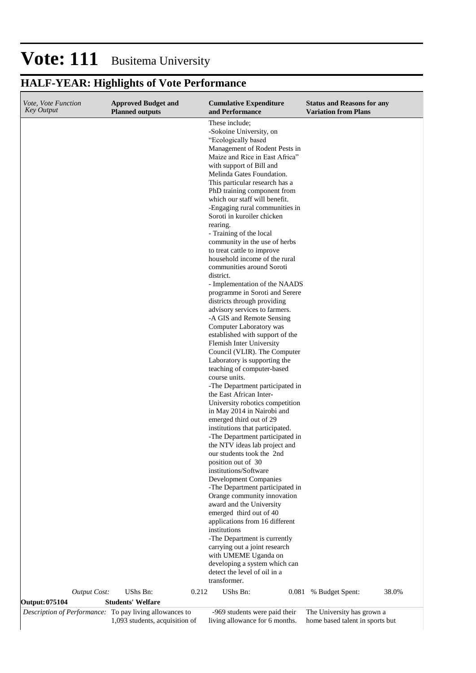# **HALF-YEAR: Highlights of Vote Performance**

| Vote, Vote Function<br><b>Key Output</b> |                     | <b>Approved Budget and</b><br><b>Planned outputs</b>                                      |       | <b>Cumulative Expenditure</b><br>and Performance                                                                                                                                                                                                                                                                                                                                                                                                                                                                                                                                                                                                                                                                                                                                                                                                                                                                                                                                                                                                                                                                                                                                                                                                                                                                                                                                                                                                                                                                                                                                                                                                           | <b>Status and Reasons for any</b><br><b>Variation from Plans</b> |       |
|------------------------------------------|---------------------|-------------------------------------------------------------------------------------------|-------|------------------------------------------------------------------------------------------------------------------------------------------------------------------------------------------------------------------------------------------------------------------------------------------------------------------------------------------------------------------------------------------------------------------------------------------------------------------------------------------------------------------------------------------------------------------------------------------------------------------------------------------------------------------------------------------------------------------------------------------------------------------------------------------------------------------------------------------------------------------------------------------------------------------------------------------------------------------------------------------------------------------------------------------------------------------------------------------------------------------------------------------------------------------------------------------------------------------------------------------------------------------------------------------------------------------------------------------------------------------------------------------------------------------------------------------------------------------------------------------------------------------------------------------------------------------------------------------------------------------------------------------------------------|------------------------------------------------------------------|-------|
|                                          |                     |                                                                                           |       | These include;<br>-Sokoine University, on<br>"Ecologically based<br>Management of Rodent Pests in<br>Maize and Rice in East Africa"<br>with support of Bill and<br>Melinda Gates Foundation.<br>This particular research has a<br>PhD training component from<br>which our staff will benefit.<br>-Engaging rural communities in<br>Soroti in kuroiler chicken<br>rearing.<br>- Training of the local<br>community in the use of herbs<br>to treat cattle to improve<br>household income of the rural<br>communities around Soroti<br>district.<br>- Implementation of the NAADS<br>programme in Soroti and Serere<br>districts through providing<br>advisory services to farmers.<br>-A GIS and Remote Sensing<br>Computer Laboratory was<br>established with support of the<br>Flemish Inter University<br>Council (VLIR). The Computer<br>Laboratory is supporting the<br>teaching of computer-based<br>course units.<br>-The Department participated in<br>the East African Inter-<br>University robotics competition<br>in May 2014 in Nairobi and<br>emerged third out of 29<br>institutions that participated.<br>-The Department participated in<br>the NTV ideas lab project and<br>our students took the 2nd<br>position out of 30<br>institutions/Software<br><b>Development Companies</b><br>-The Department participated in<br>Orange community innovation<br>award and the University<br>emerged third out of 40<br>applications from 16 different<br>institutions<br>-The Department is currently<br>carrying out a joint research<br>with UMEME Uganda on<br>developing a system which can<br>detect the level of oil in a<br>transformer. |                                                                  |       |
|                                          | <b>Output Cost:</b> | UShs Bn:                                                                                  | 0.212 | UShs Bn:                                                                                                                                                                                                                                                                                                                                                                                                                                                                                                                                                                                                                                                                                                                                                                                                                                                                                                                                                                                                                                                                                                                                                                                                                                                                                                                                                                                                                                                                                                                                                                                                                                                   | 0.081 % Budget Spent:                                            | 38.0% |
| Output: 075104                           |                     | <b>Students' Welfare</b>                                                                  |       |                                                                                                                                                                                                                                                                                                                                                                                                                                                                                                                                                                                                                                                                                                                                                                                                                                                                                                                                                                                                                                                                                                                                                                                                                                                                                                                                                                                                                                                                                                                                                                                                                                                            |                                                                  |       |
|                                          |                     | Description of Performance: To pay living allowances to<br>1,093 students, acquisition of |       | -969 students were paid their<br>living allowance for 6 months.                                                                                                                                                                                                                                                                                                                                                                                                                                                                                                                                                                                                                                                                                                                                                                                                                                                                                                                                                                                                                                                                                                                                                                                                                                                                                                                                                                                                                                                                                                                                                                                            | The University has grown a<br>home based talent in sports but    |       |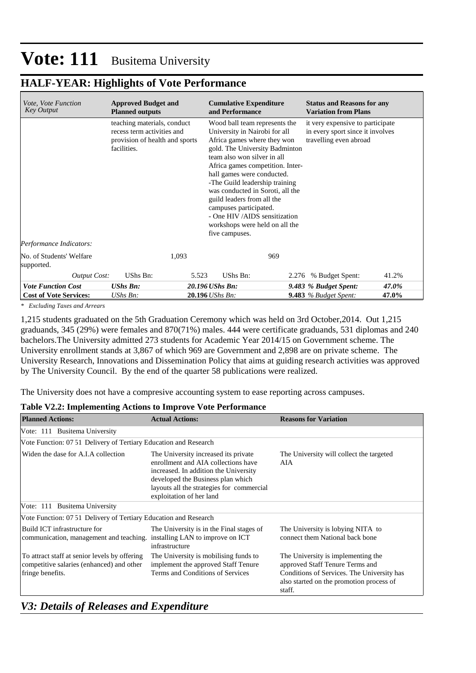## **HALF-YEAR: Highlights of Vote Performance**

| <i>Vote, Vote Function</i><br><b>Key Output</b> | <b>Approved Budget and</b><br><b>Planned outputs</b>                                                       | <b>Cumulative Expenditure</b><br>and Performance                                                                                                                                                                                                                                                                                                                                                                                                   | <b>Status and Reasons for any</b><br><b>Variation from Plans</b>                               |
|-------------------------------------------------|------------------------------------------------------------------------------------------------------------|----------------------------------------------------------------------------------------------------------------------------------------------------------------------------------------------------------------------------------------------------------------------------------------------------------------------------------------------------------------------------------------------------------------------------------------------------|------------------------------------------------------------------------------------------------|
|                                                 | teaching materials, conduct<br>recess term activities and<br>provision of health and sports<br>facilities. | Wood ball team represents the<br>University in Nairobi for all<br>Africa games where they won<br>gold. The University Badminton<br>team also won silver in all<br>Africa games competition. Inter-<br>hall games were conducted.<br>-The Guild leadership training<br>was conducted in Soroti, all the<br>guild leaders from all the<br>campuses participated.<br>- One HIV/AIDS sensitization<br>workshops were held on all the<br>five campuses. | it very expensive to participate<br>in every sport since it involves<br>travelling even abroad |
| Performance Indicators:                         |                                                                                                            |                                                                                                                                                                                                                                                                                                                                                                                                                                                    |                                                                                                |
| No. of Students' Welfare<br>supported.          | 1,093                                                                                                      | 969                                                                                                                                                                                                                                                                                                                                                                                                                                                |                                                                                                |
| <b>Output Cost:</b>                             | UShs Bn:                                                                                                   | UShs Bn:<br>5.523<br>2.276                                                                                                                                                                                                                                                                                                                                                                                                                         | % Budget Spent:<br>41.2%                                                                       |
| <b>Vote Function Cost</b>                       | <b>UShs Bn:</b>                                                                                            | 20.196 UShs Bn:                                                                                                                                                                                                                                                                                                                                                                                                                                    | 47.0%<br>9.483 % Budget Spent:                                                                 |
| <b>Cost of Vote Services:</b>                   | UShs Bn:                                                                                                   | 20.196 UShs Bn:                                                                                                                                                                                                                                                                                                                                                                                                                                    | 47.0%<br><b>9.483</b> % Budget Spent:                                                          |

*\* Excluding Taxes and Arrears*

1,215 students graduated on the 5th Graduation Ceremony which was held on 3rd October,2014. Out 1,215 graduands, 345 (29%) were females and 870(71%) males. 444 were certificate graduands, 531 diplomas and 240 bachelors.The University admitted 273 students for Academic Year 2014/15 on Government scheme. The University enrollment stands at 3,867 of which 969 are Government and 2,898 are on private scheme. The University Research, Innovations and Dissemination Policy that aims at guiding research activities was approved by The University Council. By the end of the quarter 58 publications were realized.

The University does not have a compresive accounting system to ease reporting across campuses.

### **Table V2.2: Implementing Actions to Improve Vote Performance**

| <b>Planned Actions:</b>                                                                                        | <b>Actual Actions:</b>                                                                                                                                                                                                             | <b>Reasons for Variation</b>                                                                                                                                              |
|----------------------------------------------------------------------------------------------------------------|------------------------------------------------------------------------------------------------------------------------------------------------------------------------------------------------------------------------------------|---------------------------------------------------------------------------------------------------------------------------------------------------------------------------|
| Vote: 111 Busitema University                                                                                  |                                                                                                                                                                                                                                    |                                                                                                                                                                           |
| Vote Function: 07.51 Delivery of Tertiary Education and Research                                               |                                                                                                                                                                                                                                    |                                                                                                                                                                           |
| Widen the dase for A.I.A collection                                                                            | The University increased its private<br>enrollment and AIA collections have<br>increased. In addition the University<br>developed the Business plan which<br>layouts all the strategies for commercial<br>exploitation of her land | The University will collect the targeted<br>AIA                                                                                                                           |
| Vote: 111 Busitema University                                                                                  |                                                                                                                                                                                                                                    |                                                                                                                                                                           |
| Vote Function: 07.51 Delivery of Tertiary Education and Research                                               |                                                                                                                                                                                                                                    |                                                                                                                                                                           |
| Build ICT infrastructure for<br>communication, management and teaching.                                        | The University is in the Final stages of<br>installing LAN to improve on ICT<br>infrastructure                                                                                                                                     | The University is lobying NITA to<br>connect them National back bone                                                                                                      |
| To attract staff at senior levels by offering<br>competitive salaries (enhanced) and other<br>fringe benefits. | The University is mobilising funds to<br>implement the approved Staff Tenure<br>Terms and Conditions of Services                                                                                                                   | The University is implementing the<br>approved Staff Tenure Terms and<br>Conditions of Services. The University has<br>also started on the promotion process of<br>staff. |

# *V3: Details of Releases and Expenditure*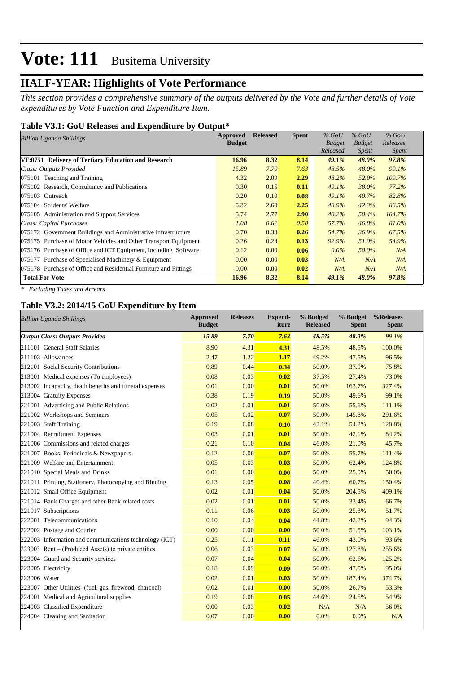# **HALF-YEAR: Highlights of Vote Performance**

*This section provides a comprehensive summary of the outputs delivered by the Vote and further details of Vote expenditures by Vote Function and Expenditure Item.*

#### **Table V3.1: GoU Releases and Expenditure by Output\***

| <b>Billion Uganda Shillings</b>                                  | Approved      | <b>Released</b> | <b>Spent</b> | $%$ GoU       | $%$ GoU       | $%$ GoU      |
|------------------------------------------------------------------|---------------|-----------------|--------------|---------------|---------------|--------------|
|                                                                  | <b>Budget</b> |                 |              | <b>Budget</b> | <b>Budget</b> | Releases     |
|                                                                  |               |                 |              | Released      | Spent         | <i>Spent</i> |
| VF:0751 Delivery of Tertiary Education and Research              | 16.96         | 8.32            | 8.14         | 49.1%         | 48.0%         | 97.8%        |
| Class: Outputs Provided                                          | 15.89         | 7.70            | 7.63         | 48.5%         | 48.0%         | 99.1%        |
| $ 075101$ Teaching and Training                                  | 4.32          | 2.09            | 2.29         | 48.2%         | 52.9%         | 109.7%       |
| 075102 Research, Consultancy and Publications                    | 0.30          | 0.15            | 0.11         | 49.1%         | 38.0%         | 77.2%        |
| 075103 Outreach                                                  | 0.20          | 0.10            | 0.08         | 49.1%         | 40.7%         | 82.8%        |
| 075104 Students' Welfare                                         | 5.32          | 2.60            | 2.25         | 48.9%         | 42.3%         | 86.5%        |
| 075105 Administration and Support Services                       | 5.74          | 2.77            | 2.90         | 48.2%         | 50.4%         | 104.7%       |
| Class: Capital Purchases                                         | 1.08          | 0.62            | 0.50         | 57.7%         | 46.8%         | 81.0%        |
| 075172 Government Buildings and Administrative Infrastructure    | 0.70          | 0.38            | 0.26         | 54.7%         | 36.9%         | 67.5%        |
| 075175 Purchase of Motor Vehicles and Other Transport Equipment  | 0.26          | 0.24            | 0.13         | 92.9%         | 51.0%         | 54.9%        |
| 075176 Purchase of Office and ICT Equipment, including Software  | 0.12          | 0.00            | 0.06         | $0.0\%$       | 50.0%         | N/A          |
| 075177 Purchase of Specialised Machinery & Equipment             | 0.00          | 0.00            | 0.03         | N/A           | N/A           | N/A          |
| 075178 Purchase of Office and Residential Furniture and Fittings | 0.00          | 0.00            | 0.02         | N/A           | N/A           | N/A          |
| <b>Total For Vote</b>                                            | 16.96         | 8.32            | 8.14         | 49.1%         | 48.0%         | 97.8%        |

*\* Excluding Taxes and Arrears*

### **Table V3.2: 2014/15 GoU Expenditure by Item**

| <b>Billion Uganda Shillings</b>                         | <b>Approved</b><br><b>Budget</b> | <b>Releases</b> | <b>Expend-</b><br>iture | % Budged<br><b>Released</b> | % Budget<br><b>Spent</b> | %Releases<br><b>Spent</b> |
|---------------------------------------------------------|----------------------------------|-----------------|-------------------------|-----------------------------|--------------------------|---------------------------|
| <b>Output Class: Outputs Provided</b>                   | 15.89                            | 7.70            | 7.63                    | 48.5%                       | 48.0%                    | 99.1%                     |
| 211101 General Staff Salaries                           | 8.90                             | 4.31            | 4.31                    | 48.5%                       | 48.5%                    | 100.0%                    |
| 211103 Allowances                                       | 2.47                             | 1.22            | 1.17                    | 49.2%                       | 47.5%                    | 96.5%                     |
| 212101 Social Security Contributions                    | 0.89                             | 0.44            | 0.34                    | 50.0%                       | 37.9%                    | 75.8%                     |
| 213001 Medical expenses (To employees)                  | 0.08                             | 0.03            | 0.02                    | 37.5%                       | 27.4%                    | 73.0%                     |
| 213002 Incapacity, death benefits and funeral expenses  | 0.01                             | 0.00            | 0.01                    | 50.0%                       | 163.7%                   | 327.4%                    |
| 213004 Gratuity Expenses                                | 0.38                             | 0.19            | 0.19                    | 50.0%                       | 49.6%                    | 99.1%                     |
| 221001 Advertising and Public Relations                 | 0.02                             | 0.01            | 0.01                    | 50.0%                       | 55.6%                    | 111.1%                    |
| 221002 Workshops and Seminars                           | 0.05                             | 0.02            | 0.07                    | 50.0%                       | 145.8%                   | 291.6%                    |
| 221003 Staff Training                                   | 0.19                             | 0.08            | 0.10                    | 42.1%                       | 54.2%                    | 128.8%                    |
| 221004 Recruitment Expenses                             | 0.03                             | 0.01            | 0.01                    | 50.0%                       | 42.1%                    | 84.2%                     |
| 221006 Commissions and related charges                  | 0.21                             | 0.10            | 0.04                    | 46.0%                       | 21.0%                    | 45.7%                     |
| 221007 Books, Periodicals & Newspapers                  | 0.12                             | 0.06            | 0.07                    | 50.0%                       | 55.7%                    | 111.4%                    |
| 221009 Welfare and Entertainment                        | 0.05                             | 0.03            | 0.03                    | 50.0%                       | 62.4%                    | 124.8%                    |
| 221010 Special Meals and Drinks                         | 0.01                             | 0.00            | 0.00                    | 50.0%                       | 25.0%                    | 50.0%                     |
| 221011 Printing, Stationery, Photocopying and Binding   | 0.13                             | 0.05            | 0.08                    | 40.4%                       | 60.7%                    | 150.4%                    |
| 221012 Small Office Equipment                           | 0.02                             | 0.01            | 0.04                    | 50.0%                       | 204.5%                   | 409.1%                    |
| 221014 Bank Charges and other Bank related costs        | 0.02                             | 0.01            | 0.01                    | 50.0%                       | 33.4%                    | 66.7%                     |
| 221017 Subscriptions                                    | 0.11                             | 0.06            | 0.03                    | 50.0%                       | 25.8%                    | 51.7%                     |
| 222001 Telecommunications                               | 0.10                             | 0.04            | 0.04                    | 44.8%                       | 42.2%                    | 94.3%                     |
| 222002 Postage and Courier                              | 0.00                             | 0.00            | 0.00                    | 50.0%                       | 51.5%                    | 103.1%                    |
| 222003 Information and communications technology (ICT)  | 0.25                             | 0.11            | 0.11                    | 46.0%                       | 43.0%                    | 93.6%                     |
| $223003$ Rent – (Produced Assets) to private entities   | 0.06                             | 0.03            | 0.07                    | 50.0%                       | 127.8%                   | 255.6%                    |
| 223004 Guard and Security services                      | 0.07                             | 0.04            | 0.04                    | 50.0%                       | 62.6%                    | 125.2%                    |
| 223005 Electricity                                      | 0.18                             | 0.09            | 0.09                    | 50.0%                       | 47.5%                    | 95.0%                     |
| 223006 Water                                            | 0.02                             | 0.01            | 0.03                    | 50.0%                       | 187.4%                   | 374.7%                    |
| 223007 Other Utilities- (fuel, gas, firewood, charcoal) | 0.02                             | 0.01            | 0.00                    | 50.0%                       | 26.7%                    | 53.3%                     |
| 224001 Medical and Agricultural supplies                | 0.19                             | 0.08            | 0.05                    | 44.6%                       | 24.5%                    | 54.9%                     |
| 224003 Classified Expenditure                           | 0.00                             | 0.03            | 0.02                    | N/A                         | N/A                      | 56.0%                     |
| 224004 Cleaning and Sanitation                          | 0.07                             | 0.00            | 0.00                    | 0.0%                        | 0.0%                     | N/A                       |